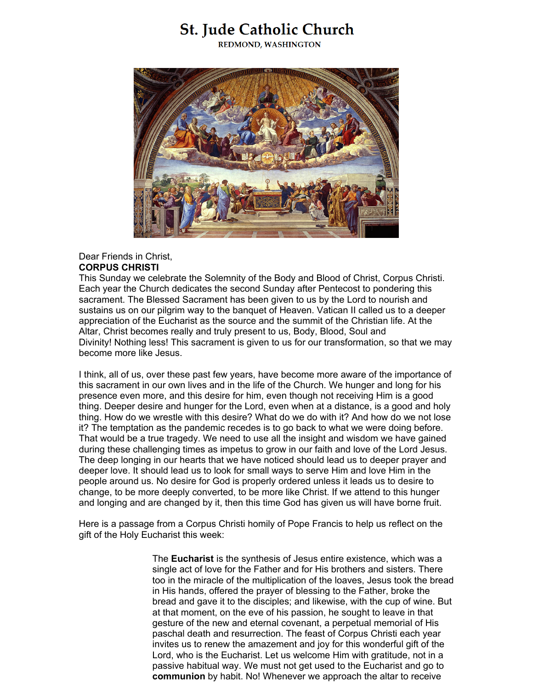# **St. Jude Catholic Church**

**REDMOND, WASHINGTON** 



## Dear Friends in Christ, **CORPUS CHRISTI**

This Sunday we celebrate the Solemnity of the Body and Blood of Christ, Corpus Christi. Each year the Church dedicates the second Sunday after Pentecost to pondering this sacrament. The Blessed Sacrament has been given to us by the Lord to nourish and sustains us on our pilgrim way to the banquet of Heaven. Vatican II called us to a deeper appreciation of the Eucharist as the source and the summit of the Christian life. At the Altar, Christ becomes really and truly present to us, Body, Blood, Soul and Divinity! Nothing less! This sacrament is given to us for our transformation, so that we may become more like Jesus.

I think, all of us, over these past few years, have become more aware of the importance of this sacrament in our own lives and in the life of the Church. We hunger and long for his presence even more, and this desire for him, even though not receiving Him is a good thing. Deeper desire and hunger for the Lord, even when at a distance, is a good and holy thing. How do we wrestle with this desire? What do we do with it? And how do we not lose it? The temptation as the pandemic recedes is to go back to what we were doing before. That would be a true tragedy. We need to use all the insight and wisdom we have gained during these challenging times as impetus to grow in our faith and love of the Lord Jesus. The deep longing in our hearts that we have noticed should lead us to deeper prayer and deeper love. It should lead us to look for small ways to serve Him and love Him in the people around us. No desire for God is properly ordered unless it leads us to desire to change, to be more deeply converted, to be more like Christ. If we attend to this hunger and longing and are changed by it, then this time God has given us will have borne fruit.

Here is a passage from a Corpus Christi homily of Pope Francis to help us reflect on the gift of the Holy Eucharist this week:

> The **[Eucharist](https://www.google.com/url?q=https%3A%2F%2Fsites.google.com%2Fview%2Fpope-francis-homilies%2Feucharist&sa=D&sntz=1&usg=AOvVaw34optZUuqmpWSxC8h_ipuk)** is the synthesis of Jesus entire existence, which was a single act of love for the Father and for His brothers and sisters. There too in the miracle of the multiplication of the loaves, Jesus took the bread in His hands, offered the prayer of blessing to the Father, broke the bread and gave it to the disciples; and likewise, with the cup of wine. But at that moment, on the eve of his passion, he sought to leave in that gesture of the new and eternal covenant, a perpetual memorial of His paschal death and resurrection. The feast of Corpus Christi each year invites us to renew the amazement and joy for this wonderful gift of the Lord, who is the Eucharist. Let us welcome Him with gratitude, not in a passive habitual way. We must not get used to the Eucharist and go to **[communion](http://www.google.com/url?q=http%3A%2F%2Fwww.popefrancishomilies.com%2Fcommunion&sa=D&sntz=1&usg=AOvVaw3XCldMRqhcMiZrUJEDBBIg)** by habit. No! Whenever we approach the altar to receive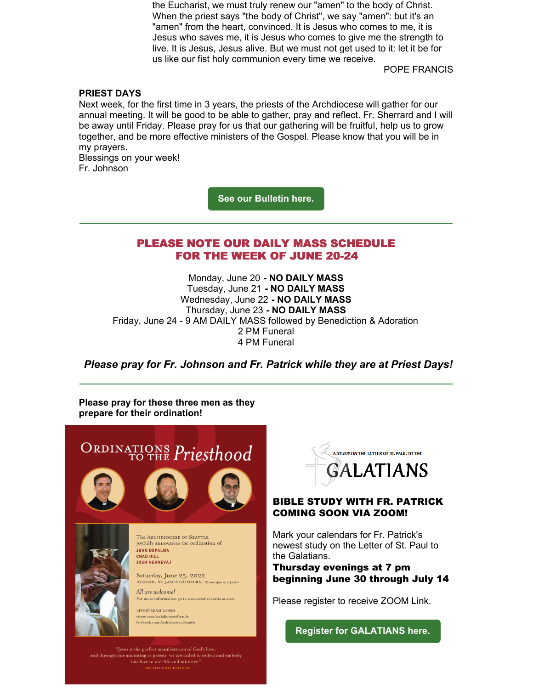the Eucharist, we must truly renew our "amen" to the body of Christ. When the priest says "the body of Christ", we say "amen": but it's an "amen" from the heart, convinced. It is Jesus who comes to me, it is Jesus who saves me, it is Jesus who comes to give me the strength to live. It is Jesus, Jesus alive. But we must not get used to it: let it be for us like our fist holy communion every time we receive.

POPE FRANCIS

### **PRIEST DAYS**

Next week, for the first time in 3 years, the priests of the Archdiocese will gather for our annual meeting. It will be good to be able to gather, pray and reflect. Fr. Sherrard and I will be away until Friday. Please pray for us that our gathering will be fruitful, help us to grow together, and be more effective ministers of the Gospel. Please know that you will be in my prayers.

Blessings on your week! Fr. Johnson

**See our [Bulletin](https://www.stjude-redmond.org/documents/june-19-2022) here.**

# PLEASE NOTE OUR DAILY MASS SCHEDULE FOR THE WEEK OF JUNE 20-24

Monday, June 20 **- NO DAILY MASS** Tuesday, June 21 **- NO DAILY MASS** Wednesday, June 22 **- NO DAILY MASS** Thursday, June 23 **- NO DAILY MASS** Friday, June 24 - 9 AM DAILY MASS followed by Benediction & Adoration 2 PM Funeral 4 PM Funeral

*Please pray for Fr. Johnson and Fr. Patrick while they are at Priest Days!*

**Please pray for these three men as they prepare for their ordination!**





## BIBLE STUDY WITH FR. PATRICK COMING SOON VIA ZOOM!

Mark your calendars for Fr. Patrick's newest study on the Letter of St. Paul to the Galatians.

Thursday evenings at 7 pm beginning June 30 through July 14

Please register to receive ZOOM Link.

**Register for [GALATIANS](https://www.osvhub.com/st-jude-catholic-church-1/forms/galatians) here.**

and through our anointing as priests, we are called to reflect and embody<br>this love in our life and ministry." ARCHBISHOP ETIENN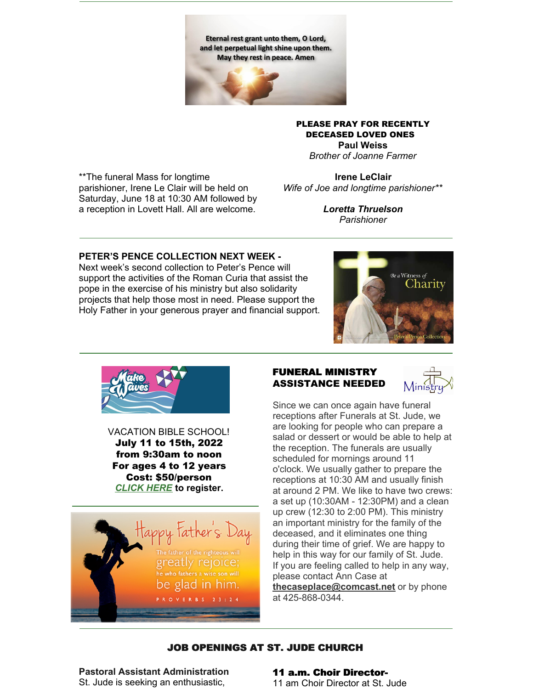Eternal rest grant unto them, O Lord, and let perpetual light shine upon them. May they rest in peace. Amen



PLEASE PRAY FOR RECENTLY DECEASED LOVED ONES **Paul Weiss**

*Brother of Joanne Farmer*

\*\*The funeral Mass for longtime parishioner, Irene Le Clair will be held on Saturday, June 18 at 10:30 AM followed by a reception in Lovett Hall. All are welcome.

**Irene LeClair** *Wife of Joe and longtime parishioner\*\**

> *Loretta Thruelson Parishioner*

### **PETER'S PENCE COLLECTION NEXT WEEK -**

Next week's second collection to Peter's Pence will support the activities of the Roman Curia that assist the pope in the exercise of his ministry but also solidarity projects that help those most in need. Please support the Holy Father in your generous prayer and financial support.





VACATION BIBLE SCHOOL! July 11 to 15th, 2022 from 9:30am to noon For ages 4 to 12 years Cost: \$50/person *[CLICK](https://www.osvhub.com/st-jude-catholic-church-1/forms/vbs2022) HERE* **to register.**



# FUNERAL MINISTRY ASSISTANCE NEEDED



Since we can once again have funeral receptions after Funerals at St. Jude, we are looking for people who can prepare a salad or dessert or would be able to help at the reception. The funerals are usually scheduled for mornings around 11 o'clock. We usually gather to prepare the receptions at 10:30 AM and usually finish at around 2 PM. We like to have two crews: a set up (10:30AM - 12:30PM) and a clean up crew (12:30 to 2:00 PM). This ministry an important ministry for the family of the deceased, and it eliminates one thing during their time of grief. We are happy to help in this way for our family of St. Jude. If you are feeling called to help in any way, please contact Ann Case at **[thecaseplace@comcast.net](mailto:thecaseplace@comcast.net)** or by phone at 425-868-0344.

# JOB OPENINGS AT ST. JUDE CHURCH

**Pastoral Assistant Administration** St. Jude is seeking an enthusiastic,

#### 11 a.m. Choir Director-11 am Choir Director at St. Jude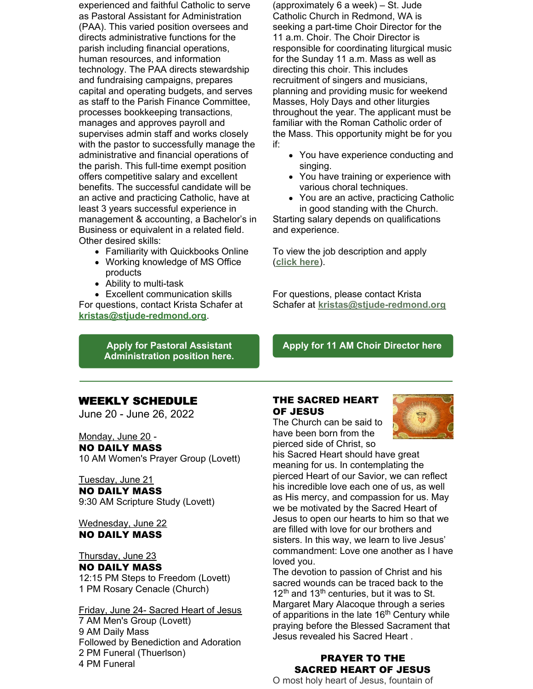experienced and faithful Catholic to serve as Pastoral Assistant for Administration (PAA). This varied position oversees and directs administrative functions for the parish including financial operations, human resources, and information technology. The PAA directs stewardship and fundraising campaigns, prepares capital and operating budgets, and serves as staff to the Parish Finance Committee, processes bookkeeping transactions, manages and approves payroll and supervises admin staff and works closely with the pastor to successfully manage the administrative and financial operations of the parish. This full-time exempt position offers competitive salary and excellent benefits. The successful candidate will be an active and practicing Catholic, have at least 3 years successful experience in management & accounting, a Bachelor's in Business or equivalent in a related field. Other desired skills:

- Familiarity with Quickbooks Online
- Working knowledge of MS Office products
- Ability to multi-task
- Excellent communication skills For questions, contact Krista Schafer at

**[kristas@stjude-redmond.org](mailto:kristas@stjude-redmond.org)**.

**Apply for Pastoral Assistant [Administration](https://www.paycomonline.net/v4/ats/web.php/jobs/ViewJobDetails?job=77730&clientkey=BB7A931544EE535844C24FB8F8C1578D) position here.**

(approximately 6 a week) – St. Jude Catholic Church in Redmond, WA is seeking a part-time Choir Director for the 11 a.m. Choir. The Choir Director is responsible for coordinating liturgical music for the Sunday 11 a.m. Mass as well as directing this choir. This includes recruitment of singers and musicians, planning and providing music for weekend Masses, Holy Days and other liturgies throughout the year. The applicant must be familiar with the Roman Catholic order of the Mass. This opportunity might be for you if:

- You have experience conducting and singing.
- You have training or experience with various choral techniques.
- You are an active, practicing Catholic in good standing with the Church.

Starting salary depends on qualifications and experience.

To view the job description and apply (**[click](https://www.paycomonline.net/v4/ats/web.php/jobs/ViewJobDetails?job=71220&clientkey=BB7A931544EE535844C24FB8F8C1578D) here**).

For questions, please contact Krista Schafer at **[kristas@stjude-redmond.org](mailto:kristas@stjude-redmond.org)**

### **Apply for 11 AM Choir [Director](https://www.paycomonline.net/v4/ats/web.php/jobs/ViewJobDetails?job=71220&clientkey=BB7A931544EE535844C24FB8F8C1578D) here**

### WEEKLY SCHEDULE

June 20 - June 26, 2022

Monday, June 20 -

### NO DAILY MASS

10 AM Women's Prayer Group (Lovett)

#### Tuesday, June 21 NO DAILY MASS

9:30 AM Scripture Study (Lovett)

### Wednesday, June 22 NO DAILY MASS

Thursday, June 23 NO DAILY MASS 12:15 PM Steps to Freedom (Lovett) 1 PM Rosary Cenacle (Church)

Friday, June 24- Sacred Heart of Jesus AM Men's Group (Lovett) AM Daily Mass Followed by Benediction and Adoration PM Funeral (Thuerlson) PM Funeral

# THE SACRED HEART OF JESUS

The Church can be said to have been born from the pierced side of Christ, so



his Sacred Heart should have great meaning for us. In contemplating the pierced Heart of our Savior, we can reflect his incredible love each one of us, as well as His mercy, and compassion for us. May we be motivated by the Sacred Heart of Jesus to open our hearts to him so that we are filled with love for our brothers and sisters. In this way, we learn to live Jesus' commandment: Love one another as I have loved you.

The devotion to passion of Christ and his sacred wounds can be traced back to the 12<sup>th</sup> and 13<sup>th</sup> centuries, but it was to St. Margaret Mary Alacoque through a series of apparitions in the late 16<sup>th</sup> Century while praying before the Blessed Sacrament that Jesus revealed his Sacred Heart .

### PRAYER TO THE SACRED HEART OF JESUS

O most holy heart of Jesus, fountain of